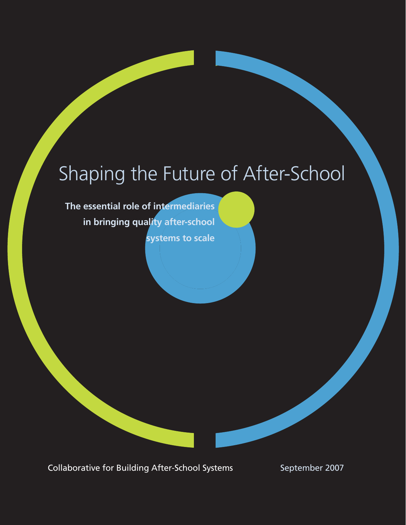# Shaping the Future of After-School

**The essential role of intermediaries in bringing quality after-school systems to scale**

Collaborative for Building After-School Systems September 2007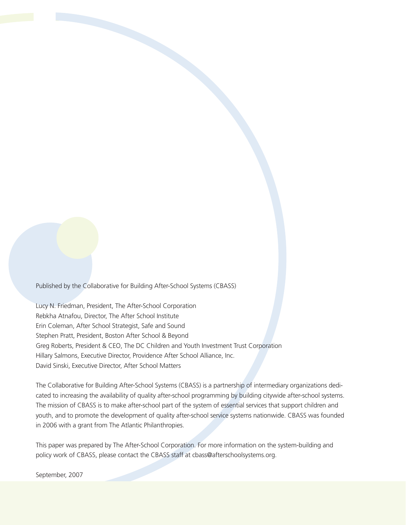Published by the Collaborative for Building After-School Systems (CBASS)

Lucy N. Friedman, President, The After-School Corporation Rebkha Atnafou, Director, The After School Institute Erin Coleman, After School Strategist, Safe and Sound Stephen Pratt, President, Boston After School & Beyond Greg Roberts, President & CEO, The DC Children and Youth Investment Trust Corporation Hillary Salmons, Executive Director, Providence After School Alliance, Inc. David Sinski, Executive Director, After School Matters

The Collaborative for Building After-School Systems (CBASS) is a partnership of intermediary organizations dedicated to increasing the availability of quality after-school programming by building citywide after-school systems. The mission of CBASS is to make after-school part of the system of essential services that support children and youth, and to promote the development of quality after-school service systems nationwide. CBASS was founded in 2006 with a grant from The Atlantic Philanthropies.

This paper was prepared by The After-School Corporation. For more information on the system-building and policy work of CBASS, please contact the CBASS staff at cbass@afterschoolsystems.org.

September, 2007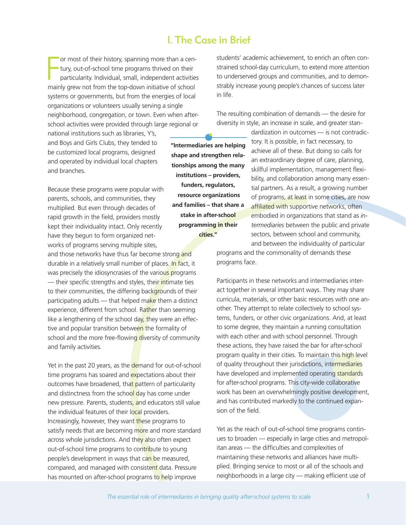# I. The Case in Brief

F or most of their history, spanning more than a century, out-of-school time programs thrived on their particularity. Individual, small, independent activities mainly grew not from the top-down initiative of school systems or governments, but from the energies of local organizations or volunteers usually serving a single neighborhood, congregation, or town. Even when afterschool activities were provided through large regional or

national institutions such as libraries, Y's, and Boys and Girls Clubs, they tended to be customized local programs, designed and operated by individual local chapters and branches.

Because these programs were popular with parents, schools, and communities, they multiplied. But even through decades of rapid growth in the field, providers mostly kept their individuality intact. Only recently have they begun to form organized networks of programs serving multiple sites, and those networks have thus far become strong and durable in a relatively small number of places. In fact, it was precisely the idiosyncrasies of the various programs — their specific strengths and styles, their intimate ties to their communities, the differing backgrounds of their participating adults — that helped make them a distinct experience, different from school. Rather than seeming like a lengthening of the school day, they were an effective and popular transition between the formality of school and the more free-flowing diversity of community and family activities.

Yet in the past 20 years, as the demand for out-of-school time programs has soared and expectations about their outcomes have broadened, that pattern of particularity and distinctness from the school day has come under new pressure. Parents, students, and educators still value the individual features of their local providers. Increasingly, however, they want these programs to satisfy needs that are becoming more and more standard across whole jurisdictions. And they also often expect out-of-school time programs to contribute to young people's development in ways that can be measured, compared, and managed with consistent data. Pressure has mounted on after-school programs to help improve

students' academic achievement, to enrich an often constrained school-day curriculum, to extend more attention to underserved groups and communities, and to demonstrably increase young people's chances of success later in life.

The resulting combination of demands — the desire for diversity in style, an increase in scale, and greater stan-

> dardization in outcomes — is not contradictory. It is possible, in fact necessary, to achieve all of these. But doing so calls for an extraordinary degree of care, planning, skillful implementation, management flexibility, and collaboration among many essential partners. As a result, a growing number of programs, at least in some cities, are now affiliated with supportive networks, often embodied in organizations that stand as *intermediaries* between the public and private sectors, between school and community, and between the individuality of particular

programs and the commonality of demands these programs face.

Participants in these networks and intermediaries interact together in several important ways. They may share curricula, materials, or other basic resources with one another. They attempt to relate collectively to school systems, funders, or other civic organizations. And, at least to some degree, they maintain a running consultation with each other and with school personnel. Through these actions, they have raised the bar for after-school program quality in their cities. To maintain this high level of quality throughout their jurisdictions, intermediaries have developed and implemented operating standards for after-school programs. This city-wide collaborative work has been an overwhelmingly positive development, and has contributed markedly to the continued expansion of the field.

Yet as the reach of out-of-school time programs continues to broaden — especially in large cities and metropolitan areas — the difficulties and complexities of maintaining these networks and alliances have multiplied. Bringing service to most or all of the schools and neighborhoods in a large city — making efficient use of

**"Intermediaries are helping shape and strengthen relationships among the many institutions – providers, funders, regulators, resource organizations and families – that share a stake in after-school programming in their cities."**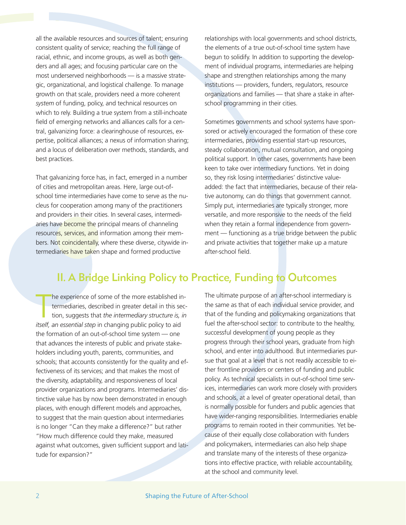all the available resources and sources of talent; ensuring consistent quality of service; reaching the full range of racial, ethnic, and income groups, as well as both genders and all ages; and focusing particular care on the most underserved neighborhoods — is a massive strategic, organizational, and logistical challenge. To manage growth on that scale, providers need a more coherent *system* of funding, policy, and technical resources on which to rely. Building a true system from a still-inchoate field of emerging networks and alliances calls for a central, galvanizing force: a clearinghouse of resources, expertise, political alliances; a nexus of information sharing; and a locus of deliberation over methods, standards, and best practices.

That galvanizing force has, in fact, emerged in a number of cities and metropolitan areas. Here, large out-ofschool time intermediaries have come to serve as the nucleus for cooperation among many of the practitioners and providers in their cities. In several cases, intermediaries have become the principal means of channeling resources, services, and information among their members. Not coincidentally, where these diverse, citywide intermediaries have taken shape and formed productive

relationships with local governments and school districts, the elements of a true out-of-school time system have begun to solidify. In addition to supporting the development of individual programs, intermediaries are helping shape and strengthen relationships among the many institutions — providers, funders, regulators, resource organizations and families — that share a stake in afterschool programming in their cities.

Sometimes governments and school systems have sponsored or actively encouraged the formation of these core intermediaries, providing essential start-up resources, steady collaboration, mutual consultation, and ongoing political support. In other cases, governments have been keen to take over intermediary functions. Yet in doing so, they risk losing intermediaries' distinctive valueadded: the fact that intermediaries, because of their relative autonomy, can do things that government cannot. Simply put, intermediaries are typically stronger, more versatile, and more responsive to the needs of the field when they retain a formal independence from government — functioning as a true bridge between the public and private activities that together make up a mature after-school field.

# II. A Bridge Linking Policy to Practice, Funding to Outcomes

The experience of some of the more established if termediaries, described in greater detail in this set tion, suggests that *the intermediary structure is,* itself, an essential step in changing public policy to aid he experience of some of the more established intermediaries, described in greater detail in this section, suggests that *the intermediary structure is, in* the formation of an out-of-school time system — one that advances the interests of public and private stakeholders including youth, parents, communities, and schools; that accounts consistently for the quality and effectiveness of its services; and that makes the most of the diversity, adaptability, and responsiveness of local provider organizations and programs. Intermediaries' distinctive value has by now been demonstrated in enough places, with enough different models and approaches, to suggest that the main question about intermediaries is no longer "Can they make a difference?" but rather "How much difference could they make, measured against what outcomes, given sufficient support and latitude for expansion?"

The ultimate purpose of an after-school intermediary is the same as that of each individual service provider, and that of the funding and policymaking organizations that fuel the after-school sector: to contribute to the healthy, successful development of young people as they progress through their school years, graduate from high school, and enter into adulthood. But intermediaries pursue that goal at a level that is not readily accessible to either frontline providers or centers of funding and public policy. As technical specialists in out-of-school time services, intermediaries can work more closely with providers and schools, at a level of greater operational detail, than is normally possible for funders and public agencies that have wider-ranging responsibilities. Intermediaries enable programs to remain rooted in their communities. Yet because of their equally close collaboration with funders and policymakers, intermediaries can also help shape and translate many of the interests of these organizations into effective practice, with reliable accountability, at the school and community level.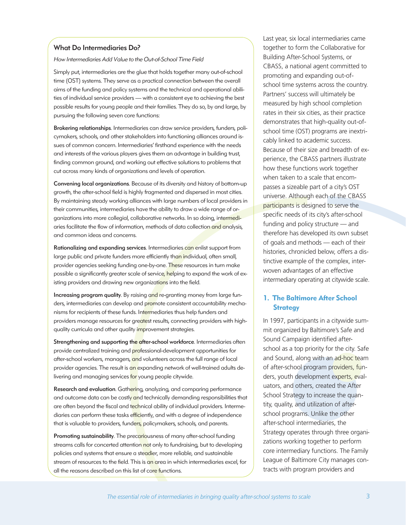#### What Do Intermediaries Do?

How Intermediaries Add Value to the Out-of-School Time Field

Simply put, intermediaries are the glue that holds together many out-of-school time (OST) systems. They serve as a practical connection between the overall aims of the funding and policy systems and the technical and operational abilities of individual service providers — with a consistent eye to achieving the best possible results for young people and their families. They do so, by and large, by pursuing the following seven core functions:

Brokering relationships. Intermediaries can draw service providers, funders, policymakers, schools, and other stakeholders into functioning alliances around issues of common concern. Intermediaries' firsthand experience with the needs and interests of the various players gives them an advantage in building trust, finding common ground, and working out effective solutions to problems that cut across many kinds of organizations and levels of operation.

Convening local organizations. Because of its diversity and history of bottom-up growth, the after-school field is highly fragmented and dispersed in most cities. By maintaining steady working alliances with large numbers of local providers in their communities, intermediaries have the ability to draw a wide range of organizations into more collegial, collaborative networks. In so doing, intermediaries facilitate the flow of information, methods of data collection and analysis, and common ideas and concerns.

Rationalizing and expanding services. Intermediaries can enlist support from large public and private funders more efficiently than individual, often small, provider agencies seeking funding one-by-one. These resources in turn make possible a significantly greater scale of service, helping to expand the work of existing providers and drawing new organizations into the field.

Increasing program quality. By raising and re-granting money from large funders, intermediaries can develop and promote consistent accountability mechanisms for recipients of these funds. Intermediaries thus help funders and providers manage resources for greatest results, connecting providers with highquality curricula and other quality *improvement strategies*.

Strengthening and supporting the after-school workforce. Intermediaries often provide centralized training and professional-development opportunities for after-school workers, managers, and volunteers across the full range of local provider agencies. The result is an expanding network of well-trained adults delivering and managing services for young people citywide.

Research and evaluation. Gathering, analyzing, and comparing performance and outcome data can be costly and technically demanding responsibilities that are often beyond the fiscal and technical ability of individual providers. Intermediaries can perform these tasks efficiently, and with a degree of independence that is valuable to providers, funders, policymakers, schools, and parents.

Promoting sustainability. The precariousness of many after-school funding streams calls for concerted attention not only to fundraising, but to developing policies and systems that ensure a steadier, more reliable, and sustainable stream of resources to the field. This is an area in which intermediaries excel, for all the reasons described on this list of core functions.

Last year, six local intermediaries came together to form the Collaborative for Building After-School Systems, or CBASS, a national agent committed to promoting and expanding out-ofschool time systems across the country. Partners' success will ultimately be measured by high school completion rates in their six cities, as their practice demonstrates that high-quality out-ofschool time (OST) programs are inextricably linked to academic success. Because of their size and breadth of experience, the CBASS partners illustrate how these functions work together when taken to a scale that encompasses a sizeable part of a city's OST universe. Although each of the CBASS participants is designed to serve the specific needs of its city's after-school funding and policy structure — and therefore has developed its own subset of goals and methods — each of their histories, chronicled below, offers a distinctive example of the complex, interwoven advantages of an effective intermediary operating at citywide scale.

#### **1. The Baltimore After School Strategy**

In 1997, participants in a citywide summit organized by Baltimore's Safe and Sound Campaign identified afterschool as a top priority for the city. Safe and Sound, along with an ad-hoc team of after-school program providers, funders, youth development experts, evaluators, and others, created the After School Strategy to increase the quantity, quality, and utilization of afterschool programs. Unlike the other after-school intermediaries, the Strategy operates through three organizations working together to perform core intermediary functions. The Family League of Baltimore City manages contracts with program providers and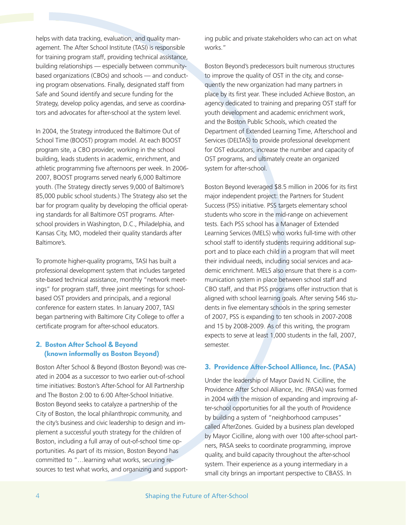helps with data tracking, evaluation, and quality management. The After School Institute (TASI) is responsible for training program staff, providing technical assistance, building relationships — especially between communitybased organizations (CBOs) and schools — and conducting program observations. Finally, designated staff from Safe and Sound identify and secure funding for the Strategy, develop policy agendas, and serve as coordinators and advocates for after-school at the system level.

In 2004, the Strategy introduced the Baltimore Out of School Time (BOOST) program model. At each BOOST program site, a CBO provider, working in the school building, leads students in academic, enrichment, and athletic programming five afternoons per week. In 2006- 2007, BOOST programs served nearly 6,000 Baltimore youth. (The Strategy directly serves 9,000 of Baltimore's 85,000 public school students.) The Strategy also set the bar for program quality by developing the official operating standards for all Baltimore OST programs. Afterschool providers in Washington, D.C., Philadelphia, and Kansas City, MO, modeled their quality standards after Baltimore's.

To promote higher-quality programs, TASI has built a professional development system that includes targeted site-based technical assistance, monthly "network meetings" for program staff, three joint meetings for schoolbased OST providers and principals, and a regional conference for eastern states. In January 2007, TASI began partnering with Baltimore City College to offer a certificate program for after-school educators.

## **2. Boston After School & Beyond (known informally as Boston Beyond)**

Boston After School & Beyond (Boston Beyond) was created in 2004 as a successor to two earlier out-of-school time initiatives: Boston's After-School for All Partnership and The Boston 2:00 to 6:00 After-School Initiative. Boston Beyond seeks to catalyze a partnership of the City of Boston, the local philanthropic community, and the city's business and civic leadership to design and implement a successful youth strategy for the children of Boston, including a full array of out-of-school time opportunities. As part of its mission, Boston Beyond has committed to "…learning what works, securing resources to test what works, and organizing and supporting public and private stakeholders who can act on what works."

Boston Beyond's predecessors built numerous structures to improve the quality of OST in the city, and consequently the new organization had many partners in place by its first year. These included Achieve Boston, an agency dedicated to training and preparing OST staff for youth development and academic enrichment work, and the Boston Public Schools, which created the Department of Extended Learning Time, Afterschool and Services (DELTAS) to provide professional development for OST educators, increase the number and capacity of OST programs, and ultimately create an organized system for after-school.

Boston Beyond leveraged \$8.5 million in 2006 for its first major independent project: the Partners for Student Success (PSS) initiative. PSS targets elementary school students who score in the mid-range on achievement tests. Each PSS school has a Manager of Extended Learning Services (MELS) who works full-time with other school staff to identify students requiring additional support and to place each child in a program that will meet their individual needs, including social services and academic enrichment. MELS also ensure that there is a communication system in place between school staff and CBO staff, and that PSS programs offer instruction that is aligned with school learning goals. After serving 546 students in five elementary schools in the spring semester of 2007, PSS is expanding to ten schools in 2007-2008 and 15 by 2008-2009. As of this writing, the program expects to serve at least 1,000 students in the fall, 2007, semester.

#### **3. Providence After-School Alliance, Inc. (PASA)**

Under the leadership of Mayor David N. Cicilline, the Providence After School Alliance, Inc. (PASA) was formed in 2004 with the mission of expanding and improving after-school opportunities for all the youth of Providence by building a system of "neighborhood campuses" called AfterZones. Guided by a business plan developed by Mayor Cicilline, along with over 100 after-school partners, PASA seeks to coordinate programming, improve quality, and build capacity throughout the after-school system. Their experience as a young intermediary in a small city brings an important perspective to CBASS. In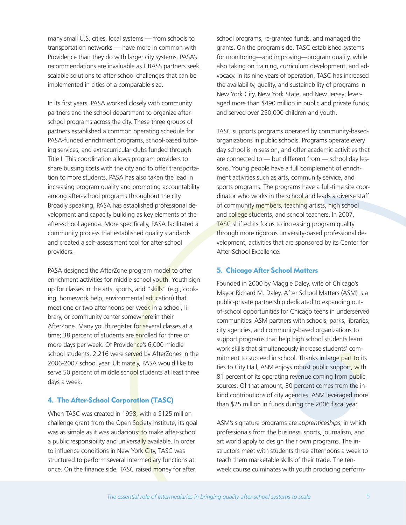many small U.S. cities, local systems — from schools to transportation networks — have more in common with Providence than they do with larger city systems. PASA's recommendations are invaluable as CBASS partners seek scalable solutions to after-school challenges that can be implemented in cities of a comparable size.

In its first years, PASA worked closely with community partners and the school department to organize afterschool programs across the city. These three groups of partners established a common operating schedule for PASA-funded enrichment programs, school-based tutoring services, and extracurricular clubs funded through Title I. This coordination allows program providers to share bussing costs with the city and to offer transportation to more students. PASA has also taken the lead in increasing program quality and promoting accountability among after-school programs throughout the city. Broadly speaking, PASA has established professional development and capacity building as key elements of the after-school agenda. More specifically, PASA facilitated a community process that established quality standards and created a self-assessment tool for after-school providers.

PASA designed the AfterZone program model to offer enrichment activities for middle-school youth. Youth sign up for classes in the arts, sports, and "skills" (e.g., cooking, homework help, environmental education) that meet one or two afternoons per week in a school, library, or community center somewhere in their AfterZone. Many youth register for several classes at a time; 38 percent of students are enrolled for three or more days per week. Of Providence's 6,000 middle school students, 2,216 were served by AfterZones in the 2006-2007 school year. Ultimately, PASA would like to serve 50 percent of middle school students at least three days a week.

## **4. The After-School Corporation (TASC)**

When TASC was created in 1998, with a \$125 million challenge grant from the Open Society Institute, its goal was as simple as it was audacious: to make after-school a public responsibility and universally available. In order to influence conditions in New York City, TASC was structured to perform several intermediary functions at once. On the finance side, TASC raised money for after

school programs, re-granted funds, and managed the grants. On the program side, TASC established systems for monitoring—and improving—program quality, while also taking on training, curriculum development, and advocacy. In its nine years of operation, TASC has increased the availability, quality, and sustainability of programs in New York City, New York State, and New Jersey; leveraged more than \$490 million in public and private funds; and served over 250,000 children and youth.

TASC supports programs operated by community-basedorganizations in public schools. Programs operate every day school is in session, and offer academic activities that are connected to — but different from — school day lessons. Young people have a full complement of enrichment activities such as arts, community service, and sports programs. The programs have a full-time site coordinator who works in the school and leads a diverse staff of community members, teaching artists, high school and college students, and school teachers. In 2007, TASC shifted its focus to increasing program quality through more rigorous university-based professional development, activities that are sponsored by its Center for After-School Excellence.

## **5. Chicago After School Matters**

Founded in 2000 by Maggie Daley, wife of Chicago's Mayor Richard M. Daley, After School Matters (ASM) is a public-private partnership dedicated to expanding outof-school opportunities for Chicago teens in underserved communities. ASM partners with schools, parks, libraries, city agencies, and community-based organizations to support programs that help high school students learn work skills that simultaneously increase students' commitment to succeed in school. Thanks in large part to its ties to City Hall, ASM enjoys robust public support, with 81 percent of its operating revenue coming from public sources. Of that amount, 30 percent comes from the inkind contributions of city agencies. ASM leveraged more than \$25 million in funds during the 2006 fiscal year.

ASM's signature programs are *apprenticeships*, in which professionals from the business, sports, journalism, and art world apply to design their own programs. The instructors meet with students three afternoons a week to teach them marketable skills of their trade. The tenweek course culminates with youth producing perform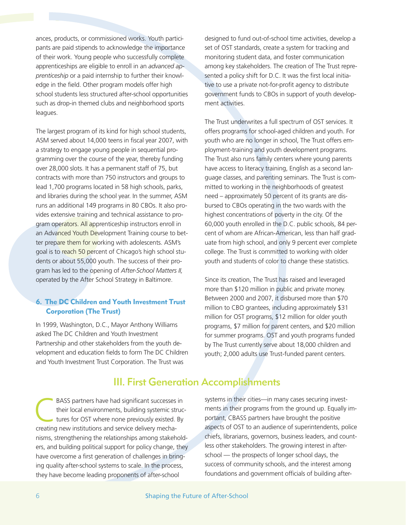ances, products, or commissioned works. Youth participants are paid stipends to acknowledge the importance of their work. Young people who successfully complete apprenticeships are eligible to enroll in an *advanced apprenticeship* or a paid internship to further their knowledge in the field. Other program models offer high school students less structured after-school opportunities such as drop-in themed clubs and neighborhood sports leagues.

The largest program of its kind for high school students, ASM served about 14,000 teens in fiscal year 2007, with a strategy to engage young people in sequential programming over the course of the year, thereby funding over 28,000 slots. It has a permanent staff of 75, but contracts with more than 750 instructors and groups to lead 1,700 programs located in 58 high schools, parks, and libraries during the school year. In the summer, ASM runs an additional 149 programs in 80 CBOs. It also provides extensive training and technical assistance to program operators. All apprenticeship instructors enroll in an Advanced Youth Development Training course to better prepare them for working with adolescents. ASM's goal is to reach 50 percent of Chicago's high school students or about 55,000 youth. The success of their program has led to the opening of *After-School Matters II,* operated by the After School Strategy in Baltimore.

# **6. The DC Children and Youth Investment Trust Corporation (The Trust)**

In 1999, Washington, D.C., Mayor Anthony Williams asked The DC Children and Youth Investment Partnership and other stakeholders from the youth development and education fields to form The DC Children and Youth Investment Trust Corporation. The Trust was

designed to fund out-of-school time activities, develop a set of OST standards, create a system for tracking and monitoring student data, and foster communication among key stakeholders. The creation of The Trust represented a policy shift for D.C. It was the first local initiative to use a private not-for-profit agency to distribute government funds to CBOs in support of youth development activities.

The Trust underwrites a full spectrum of OST services. It offers programs for school-aged children and youth. For youth who are no longer in school, The Trust offers employment-training and youth development programs. The Trust also runs family centers where young parents have access to literacy training, English as a second language classes, and parenting seminars. The Trust is committed to working in the neighborhoods of greatest need – approximately 50 percent of its grants are disbursed to CBOs operating in the two wards with the highest concentrations of poverty in the city. Of the 60,000 youth enrolled in the D.C. public schools, 84 percent of whom are African-American, less than half graduate from high school, and only 9 percent ever complete college. The Trust is committed to working with older youth and students of color to change these statistics.

Since its creation, The Trust has raised and leveraged more than \$120 million in public and private money. Between 2000 and 2007, it disbursed more than \$70 million to CBO grantees, including approximately \$31 million for OST programs, \$12 million for older youth programs, \$7 million for parent centers, and \$20 million for summer programs. OST and youth programs funded by The Trust currently serve about 18,000 children and youth; 2,000 adults use Trust-funded parent centers.

# III. First Generation Accomplishments

BASS partners have had significant successes in<br>their local environments, building systemic structures for OST where none previously existed. By their local environments, building systemic struccreating new institutions and service delivery mechanisms, strengthening the relationships among stakeholders, and building political support for policy change, they have overcome a first generation of challenges in bringing quality after-school systems to scale. In the process, they have become leading proponents of after-school

systems in their cities—in many cases securing investments in their programs from the ground up. Equally important, CBASS partners have brought the positive aspects of OST to an audience of superintendents, police chiefs, librarians, governors, business leaders, and countless other stakeholders. The growing interest in afterschool — the prospects of longer school days, the success of community schools, and the interest among foundations and government officials of building after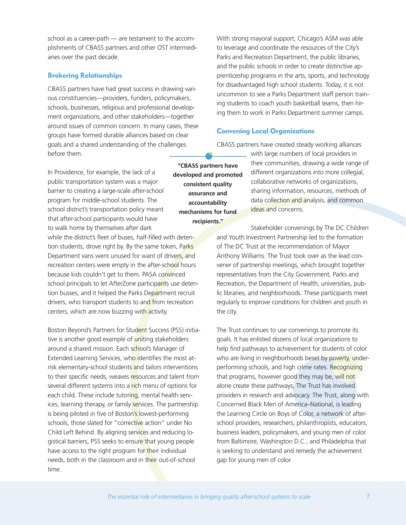school as a career-path — are testament to the accomplishments of CBASS partners and other OST intermediaries over the past decade.

#### **Brokering Relationships**

CBASS partners have had great success in drawing various constituencies—providers, funders, policymakers, schools, businesses, religious and professional development organizations, and other stakeholders—together around issues of common concern. In many cases, these groups have formed durable alliances based on clear goals and a shared understanding of the challenges before them.

In Providence, for example, the lack of a public transportation system was a major barrier to creating a large-scale after-school program for middle-school students. The school district's transportation policy meant that after-school participants would have to walk home by themselves after dark while the district's fleet of buses, half-filled with detention students, drove right by. By the same token, Parks Department vans went unused for want of drivers, and recreation centers were empty in the after-school hours because kids couldn't get to them. PASA convinced school principals to let AfterZone participants use detention busses, and it helped the Parks Department recruit drivers, who transport students to and from recreation centers, which are now buzzing with activity.

Boston Beyond's Partners for Student Success (PSS) initiative is another good example of uniting stakeholders around a shared mission. Each school's Manager of Extended Learning Services, who identifies the most atrisk elementary-school students and tailors interventions to their specific needs, weaves resources and talent from several different systems into a rich menu of options for each child. These include tutoring, mental health services, learning therapy, or family services. The partnership is being piloted in five of Boston's lowest-performing schools, those slated for "corrective action" under No Child Left Behind. By aligning services and reducing logistical barriers, PSS seeks to ensure that young people have access to the right program for their individual needs, both in the classroom and in their out-of-school time.

With strong mayoral support, Chicago's ASM was able to leverage and coordinate the resources of the City's Parks and Recreation Department, the public libraries, and the public schools in order to create distinctive apprenticeship programs in the arts, sports, and technology for disadvantaged high school students. Today, it is not uncommon to see a Parks Department staff person training students to coach youth basketball teams, then hiring them to work in Parks Department summer camps.

#### **Convening Local Organizations**

CBASS partners have created steady working alliances

**"CBASS partners have developed and promoted consistent quality assurance and accountability mechanisms for fund recipients."**

with large numbers of local providers in their communities, drawing a wide range of different organizations into more collegial, collaborative networks of organizations, sharing information, resources, methods of data collection and analysis, and common ideas and concerns.

Stakeholder convenings by The DC Children and Youth Investment Partnership led to the formation of The DC Trust at the recommendation of Mayor Anthony Williams. The Trust took over as the lead convener of partnership meetings, which brought together representatives from the City Government, Parks and Recreation, the Department of Health, universities, public libraries, and neighborhoods. These participants meet regularly to improve conditions for children and youth in the city.

The Trust continues to use convenings to promote its goals. It has enlisted dozens of local organizations to help find pathways to achievement for students of color who are living in neighborhoods beset by poverty, underperforming schools, and high crime rates. Recognizing that programs, however good they may be, will not alone create these pathways, The Trust has involved providers in research and advocacy. The Trust, along with Concerned Black Men of America–National, is leading the Learning Circle on Boys of Color, a network of afterschool providers, researchers, philanthropists, educators, business leaders, policymakers, and young men of color from Baltimore, Washington D.C., and Philadelphia that is seeking to understand and remedy the achievement gap for young men of color.

*The essential role of intermediaries in bringing quality after-school systems to scale* 7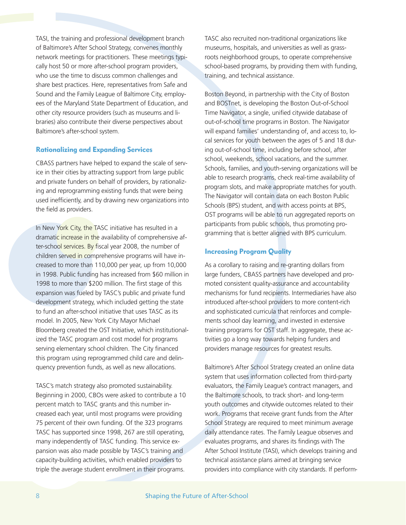TASI, the training and professional development branch of Baltimore's After School Strategy, convenes monthly network meetings for practitioners. These meetings typically host 50 or more after-school program providers, who use the time to discuss common challenges and share best practices. Here, representatives from Safe and Sound and the Family League of Baltimore City, employees of the Maryland State Department of Education, and other city resource providers (such as museums and libraries) also contribute their diverse perspectives about Baltimore's after-school system.

#### **Rationalizing and Expanding Services**

CBASS partners have helped to expand the scale of service in their cities by attracting support from large public and private funders on behalf of providers, by rationalizing and reprogramming existing funds that were being used inefficiently, and by drawing new organizations into the field as providers.

In New York City, the TASC initiative has resulted in a dramatic increase in the availability of comprehensive after-school services. By fiscal year 2008, the number of children served in comprehensive programs will have increased to more than 110,000 per year, up from 10,000 in 1998. Public funding has increased from \$60 million in 1998 to more than \$200 million. The first stage of this expansion was fueled by TASC's public and private fund development strategy, which included getting the state to fund an after-school initiative that uses TASC as its model. In 2005, New York City Mayor Michael Bloomberg created the OST Initiative, which institutionalized the TASC program and cost model for programs serving elementary school children. The City financed this program using reprogrammed child care and delinquency prevention funds, as well as new allocations.

TASC's match strategy also promoted sustainability. Beginning in 2000, CBOs were asked to contribute a 10 percent match to TASC grants and this number increased each year, until most programs were providing 75 percent of their own funding. Of the 323 programs TASC has supported since 1998, 267 are still operating, many independently of TASC funding. This service expansion was also made possible by TASC's training and capacity-building activities, which enabled providers to triple the average student enrollment in their programs.

TASC also recruited non-traditional organizations like museums, hospitals, and universities as well as grassroots neighborhood groups, to operate comprehensive school-based programs, by providing them with funding, training, and technical assistance.

Boston Beyond, in partnership with the City of Boston and BOSTnet, is developing the Boston Out-of-School Time Navigator, a single, unified citywide database of out-of-school time programs in Boston. The Navigator will expand families' understanding of, and access to, local services for youth between the ages of 5 and 18 during out-of-school time, including before school, after school, weekends, school vacations, and the summer. Schools, families, and youth-serving organizations will be able to research programs, check real-time availability of program slots, and make appropriate matches for youth. The Navigator will contain data on each Boston Public Schools (BPS) student, and with access points at BPS, OST programs will be able to run aggregated reports on participants from public schools, thus promoting programming that is better aligned with BPS curriculum.

## **Increasing Program Quality**

As a corollary to raising and re-granting dollars from large funders, CBASS partners have developed and promoted consistent quality-assurance and accountability mechanisms for fund recipients. Intermediaries have also introduced after-school providers to more content-rich and sophisticated curricula that reinforces and complements school day learning, and invested in extensive training programs for OST staff. In aggregate, these activities go a long way towards helping funders and providers manage resources for greatest results.

Baltimore's After School Strategy created an online data system that uses information collected from third-party evaluators, the Family League's contract managers, and the Baltimore schools, to track short- and long-term youth outcomes and citywide outcomes related to their work. Programs that receive grant funds from the After School Strategy are required to meet minimum average daily attendance rates. The Family League observes and evaluates programs, and shares its findings with The After School Institute (TASI), which develops training and technical assistance plans aimed at bringing service providers into compliance with city standards. If perform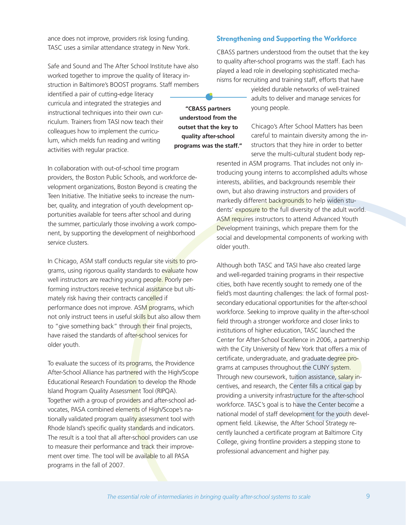ance does not improve, providers risk losing funding. TASC uses a similar attendance strategy in New York.

Safe and Sound and The After School Institute have also worked together to improve the quality of literacy instruction in Baltimore's BOOST programs. Staff members

identified a pair of cutting-edge literacy curricula and integrated the strategies and instructional techniques into their own curriculum. Trainers from TASI now teach their colleagues how to implement the curriculum, which melds fun reading and writing activities with regular practice.

In collaboration with out-of-school time program providers, the Boston Public Schools, and workforce development organizations, Boston Beyond is creating the Teen Initiative. The Initiative seeks to increase the number, quality, and integration of youth development opportunities available for teens after school and during the summer, particularly those involving a work component, by supporting the development of neighborhood service clusters.

In Chicago, ASM staff conducts regular site visits to programs, using rigorous quality standards to evaluate how well instructors are reaching young people. Poorly performing instructors receive technical assistance but ultimately risk having their contracts cancelled if performance does not improve. ASM programs, which not only instruct teens in useful skills but also allow them to "give something back" through their final projects, have raised the standards of after-school services for older youth.

To evaluate the success of its programs, the Providence After-School Alliance has partnered with the High/Scope Educational Research Foundation to develop the Rhode Island Program Quality Assessment Tool (RIPQA). Together with a group of providers and after-school advocates, PASA combined elements of High/Scope's nationally validated program quality assessment tool with Rhode Island's specific quality standards and indicators. The result is a tool that all after-school providers can use to measure their performance and track their improvement over time. The tool will be available to all PASA programs in the fall of 2007.

#### **Strengthening and Supporting the Workforce**

CBASS partners understood from the outset that the key to quality after-school programs was the staff. Each has played a lead role in developing sophisticated mechanisms for recruiting and training staff, efforts that have

> yielded durable networks of well-trained adults to deliver and manage services for young people.

Chicago's After School Matters has been careful to maintain diversity among the instructors that they hire in order to better serve the multi-cultural student body rep-

resented in ASM programs. That includes not only introducing young interns to accomplished adults whose interests, abilities, and backgrounds resemble their own, but also drawing instructors and providers of markedly different backgrounds to help widen students' exposure to the full diversity of the adult world. ASM requires instructors to attend Advanced Youth Development trainings, which prepare them for the social and developmental components of working with older youth.

Although both TASC and TASI have also created large and well-regarded training programs in their respective cities, both have recently sought to remedy one of the field's most daunting challenges: the lack of formal postsecondary educational opportunities for the after-school workforce. Seeking to improve quality in the after-school field through a stronger workforce and closer links to institutions of higher education, TASC launched the Center for After-School Excellence in 2006, a partnership with the City University of New York that offers a mix of certificate, undergraduate, and graduate degree programs at campuses throughout the CUNY system. Through new coursework, tuition assistance, salary incentives, and research, the Center fills a critical gap by providing a university infrastructure for the after-school workforce. TASC's goal is to have the Center become a national model of staff development for the youth development field. Likewise, the After School Strategy recently launched a certificate program at Baltimore City College, giving frontline providers a stepping stone to professional advancement and higher pay.

**"CBASS partners understood from the outset that the key to quality after-school programs was the staff."**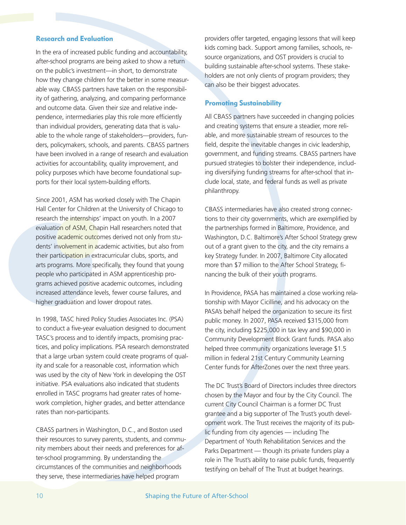#### **Research and Evaluation**

In the era of increased public funding and accountability, after-school programs are being asked to show a return on the public's investment—in short, to demonstrate how they change children for the better in some measurable way. CBASS partners have taken on the responsibility of gathering, analyzing, and comparing performance and outcome data. Given their size and relative independence, intermediaries play this role more efficiently than individual providers, generating data that is valuable to the whole range of stakeholders—providers, funders, policymakers, schools, and parents. CBASS partners have been involved in a range of research and evaluation activities for accountability, quality improvement, and policy purposes which have become foundational supports for their local system-building efforts.

Since 2001, ASM has worked closely with The Chapin Hall Center for Children at the University of Chicago to research the internships' impact on youth. In a 2007 evaluation of ASM, Chapin Hall researchers noted that positive academic outcomes derived not only from students' involvement in academic activities, but also from their participation in extracurricular clubs, sports, and arts programs. More specifically, they found that young people who participated in ASM apprenticeship programs achieved positive academic outcomes, including increased attendance levels, fewer course failures, and higher graduation and lower dropout rates.

In 1998, TASC hired Policy Studies Associates Inc. (PSA) to conduct a five-year evaluation designed to document TASC's process and to identify impacts, promising practices, and policy implications. PSA research demonstrated that a large urban system could create programs of quality and scale for a reasonable cost, information which was used by the city of New York in developing the OST initiative. PSA evaluations also indicated that students enrolled in TASC programs had greater rates of homework completion, higher grades, and better attendance rates than non-participants.

CBASS partners in Washington, D.C., and Boston used their resources to survey parents, students, and community members about their needs and preferences for after-school programming. By understanding the circumstances of the communities and neighborhoods they serve, these intermediaries have helped program

providers offer targeted, engaging lessons that will keep kids coming back. Support among families, schools, resource organizations, and OST providers is crucial to building sustainable after-school systems. These stakeholders are not only clients of program providers; they can also be their biggest advocates.

#### **Promoting Sustainability**

All CBASS partners have succeeded in changing policies and creating systems that ensure a steadier, more reliable, and more sustainable stream of resources to the field, despite the inevitable changes in civic leadership, government, and funding streams. CBASS partners have pursued strategies to bolster their independence, including diversifying funding streams for after-school that include local, state, and federal funds as well as private philanthropy.

CBASS intermediaries have also created strong connections to their city governments, which are exemplified by the partnerships formed in Baltimore, Providence, and Washington, D.C. Baltimore's After School Strategy grew out of a grant given to the city, and the city remains a key Strategy funder. In 2007, Baltimore City allocated more than \$7 million to the After School Strategy, financing the bulk of their youth programs.

In Providence, PASA has maintained a close working relationship with Mayor Cicilline, and his advocacy on the PASA's behalf helped the organization to secure its first public money. In 2007, PASA received \$315,000 from the city, including \$225,000 in tax levy and \$90,000 in Community Development Block Grant funds. PASA also helped three community organizations leverage \$1.5 million in federal 21st Century Community Learning Center funds for AfterZones over the next three years.

The DC Trust's Board of Directors includes three directors chosen by the Mayor and four by the City Council. The current City Council Chairman is a former DC Trust grantee and a big supporter of The Trust's youth development work. The Trust receives the majority of its public funding from city agencies — including The Department of Youth Rehabilitation Services and the Parks Department — though its private funders play a role in The Trust's ability to raise public funds, frequently testifying on behalf of The Trust at budget hearings.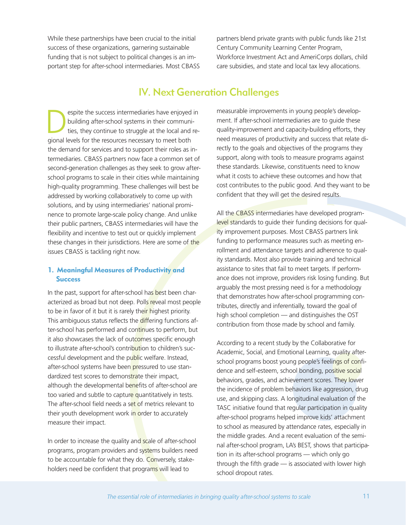While these partnerships have been crucial to the initial success of these organizations, garnering sustainable funding that is not subject to political changes is an important step for after-school intermediaries. Most CBASS partners blend private grants with public funds like 21st Century Community Learning Center Program, Workforce Investment Act and AmeriCorps dollars, child care subsidies, and state and local tax levy allocations.

# IV. Next Generation Challenges

espite the success intermediaries have enjoyed in<br>
building after-school systems in their communi-<br>
ties, they continue to struggle at the local and rebuilding after-school systems in their communigional levels for the resources necessary to meet both the demand for services and to support their roles as intermediaries. CBASS partners now face a common set of second-generation challenges as they seek to grow afterschool programs to scale in their cities while maintaining high-quality programming. These challenges will best be addressed by working collaboratively to come up with solutions, and by using intermediaries' national prominence to promote large-scale policy change. And unlike their public partners, CBASS intermediaries will have the flexibility and incentive to test out or quickly implement these changes in their jurisdictions. Here are some of the issues CBASS is tackling right now.

# **1. Meaningful Measures of Productivity and Success**

In the past, support for after-school has best been characterized as broad but not deep. Polls reveal most people to be in favor of it but it is rarely their highest priority. This ambiguous status reflects the differing functions after-school has performed and continues to perform, but it also showcases the lack of outcomes specific enough to illustrate after-school's contribution to children's successful development and the public welfare. Instead, after-school systems have been pressured to use standardized test scores to demonstrate their impact, although the developmental benefits of after-school are too varied and subtle to capture quantitatively in tests. The after-school field needs a set of metrics relevant to their youth development work in order to accurately measure their impact.

In order to increase the quality and scale of after-school programs, program providers and systems builders need to be accountable for what they do. Conversely, stakeholders need be confident that programs will lead to

measurable improvements in young people's development. If after-school intermediaries are to guide these quality-improvement and capacity-building efforts, they need measures of productivity and success that relate directly to the goals and objectives of the programs they support, along with tools to measure programs against these standards. Likewise, constituents need to know what it costs to achieve these outcomes and how that cost contributes to the public good. And they want to be confident that they will get the desired results.

All the CBASS intermediaries have developed programlevel standards to guide their funding decisions for quality improvement purposes. Most CBASS partners link funding to performance measures such as meeting enrollment and attendance targets and adherence to quality standards. Most also provide training and technical assistance to sites that fail to meet targets. If performance does not improve, providers risk losing funding. But arguably the most pressing need is for a methodology that demonstrates how after-school programming contributes, directly and inferentially, toward the goal of high school completion — and distinguishes the OST contribution from those made by school and family.

According to a recent study by the Collaborative for Academic, Social, and Emotional Learning, quality afterschool programs boost young people's feelings of confidence and self-esteem, school bonding, positive social behaviors, grades, and achievement scores. They lower the incidence of problem behaviors like aggression, drug use, and skipping class. A longitudinal evaluation of the TASC initiative found that regular participation in quality after-school programs helped improve kids' attachment to school as measured by attendance rates, especially in the middle grades. And a recent evaluation of the seminal after-school program, LA's BEST, shows that participation in its after-school programs — which only go through the fifth grade — is associated with lower high school dropout rates.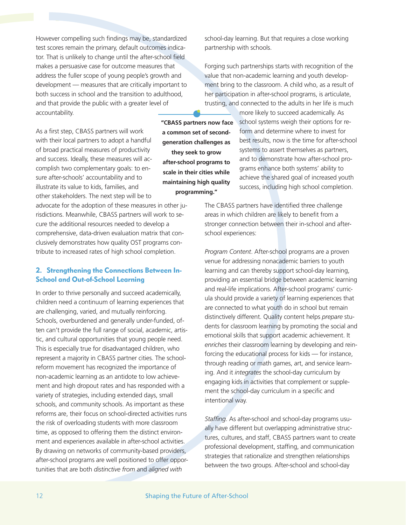However compelling such findings may be, standardized test scores remain the primary, default outcomes indicator. That is unlikely to change until the after-school field makes a persuasive case for outcome measures that address the fuller scope of young people's growth and development — measures that are critically important to both success in school and the transition to adulthood, and that provide the public with a greater level of accountability.

As a first step, CBASS partners will work with their local partners to adopt a handful of broad practical measures of productivity and success. Ideally, these measures will accomplish two complementary goals: to ensure after-schools' accountability and to illustrate its value to kids, families, and other stakeholders. The next step will be to

advocate for the adoption of these measures in other jurisdictions. Meanwhile, CBASS partners will work to secure the additional resources needed to develop a comprehensive, data-driven evaluation matrix that conclusively demonstrates how quality OST programs contribute to increased rates of high school completion.

## **2. Strengthening the Connections Between In-School and Out-of-School Learning**

In order to thrive personally and succeed academically, children need a continuum of learning experiences that are challenging, varied, and mutually reinforcing. Schools, overburdened and generally under-funded, often can't provide the full range of social, academic, artistic, and cultural opportunities that young people need. This is especially true for disadvantaged children, who represent a majority in CBASS partner cities. The schoolreform movement has recognized the importance of non-academic learning as an antidote to low achievement and high dropout rates and has responded with a variety of strategies, including extended days, small schools, and community schools. As important as these reforms are, their focus on school-directed activities runs the risk of overloading students with more classroom time, as opposed to offering them the distinct environment and experiences available in after-school activities. By drawing on networks of community-based providers, after-school programs are well positioned to offer opportunities that are both *distinctive from* and *aligned with*

Forging such partnerships starts with recognition of the value that non-academic learning and youth development bring to the classroom. A child who, as a result of

partnership with schools.

school-day learning. But that requires a close working

her participation in after-school programs, is articulate, trusting, and connected to the adults in her life is much

**"CBASS partners now face a common set of secondgeneration challenges as they seek to grow after-school programs to scale in their cities while maintaining high quality programming."**

more likely to succeed academically. As school systems weigh their options for reform and determine where to invest for best results, now is the time for after-school systems to assert themselves as partners, and to demonstrate how after-school programs enhance both systems' ability to achieve the shared goal of increased youth success, including high school completion.

The CBASS partners have identified three challenge areas in which children are likely to benefit from a stronger connection between their in-school and afterschool experiences:

*Program Content*. After-school programs are a proven venue for addressing nonacademic barriers to youth learning and can thereby support school-day learning, providing an essential bridge between academic learning and real-life implications. After-school programs' curricula should provide a variety of learning experiences that are connected to what youth do in school but remain distinctively different. Quality content helps *prepare* students for classroom learning by promoting the social and emotional skills that support academic achievement. It *enriches* their classroom learning by developing and reinforcing the educational process for kids — for instance, through reading or math games, art, and service learning. And it *integrates* the school-day curriculum by engaging kids in activities that complement or supplement the school-day curriculum in a specific and intentional way.

*Staffing*. As after-school and school-day programs usually have different but overlapping administrative structures, cultures, and staff, CBASS partners want to create professional development, staffing, and communication strategies that rationalize and strengthen relationships between the two groups. After-school and school-day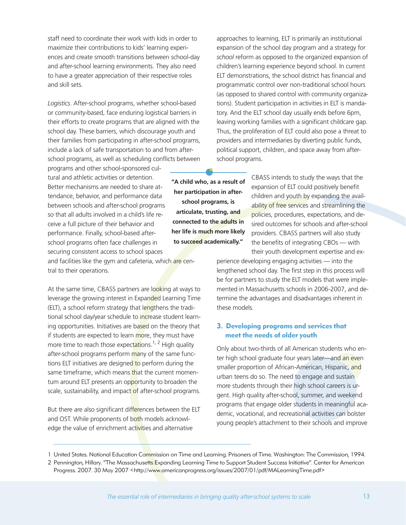staff need to coordinate their work with kids in order to maximize their contributions to kids' learning experiences and create smooth transitions between school-day and after-school learning environments. They also need to have a greater appreciation of their respective roles and skill sets.

*Logistics*. After-school programs, whether school-based or community-based, face enduring logistical barriers in their efforts to create programs that are aligned with the school day. These barriers, which discourage youth and their families from participating in after-school programs, include a lack of safe transportation to and from afterschool programs, as well as scheduling conflicts between

programs and other school-sponsored cultural and athletic activities or detention. Better mechanisms are needed to share attendance, behavior, and performance data between schools and after-school programs so that all adults involved in a child's life receive a full picture of their behavior and performance. Finally, school-based afterschool programs often face challenges in securing consistent access to school spaces

and facilities like the gym and cafeteria, which are central to their operations.

At the same time, CBASS partners are looking at ways to leverage the growing interest in Expanded Learning Time (ELT), a school reform strategy that lengthens the traditional school day/year schedule to increase student learning opportunities. Initiatives are based on the theory that if students are expected to learn more, they must have more time to reach those expectations.<sup>1, 2</sup> High quality after-school programs perform many of the same functions ELT initiatives are designed to perform during the same timeframe, which means that the current momentum around ELT presents an opportunity to broaden the scale, sustainability, and impact of after-school programs.

But there are also significant differences between the ELT and OST. While proponents of both models acknowledge the value of enrichment activities and alternative

approaches to learning, ELT is primarily an institutional expansion of the school day program and a strategy for *school* reform as opposed to the organized expansion of children's learning experience beyond school. In current ELT demonstrations, the school district has financial and programmatic control over non-traditional school hours (as opposed to shared control with community organizations). Student participation in activities in ELT is mandatory. And the ELT school day usually ends before 6pm, leaving working families with a significant childcare gap. Thus, the proliferation of ELT could also pose a threat to providers and intermediaries by diverting public funds, political support, children, and space away from afterschool programs.

CBASS intends to study the ways that the expansion of ELT could positively benefit children and youth by expanding the availability of free services and streamlining the policies, procedures, expectations, and desired outcomes for schools and after-school providers. CBASS partners will also study the benefits of integrating CBOs — with their youth development expertise and ex-**"A child who, as a result of her participation in afterschool programs, is articulate, trusting, and connected to the adults in her life is much more likely to succeed academically."**

perience developing engaging activities — into the lengthened school day. The first step in this process will be for partners to study the ELT models that were implemented in Massachusetts schools in 2006-2007, and determine the advantages and disadvantages inherent in these models.

#### **3. Developing programs and services that meet the needs of older youth**

Only about two-thirds of all American students who enter high school graduate four years later—and an even smaller proportion of African-American, Hispanic, and urban teens do so. The need to engage and sustain more students through their high school careers is urgent. High quality after-school, summer, and weekend programs that engage older students in meaningful academic, vocational, and recreational activities can bolster young people's attachment to their schools and improve

*The essential role of intermediaries in bringing quality after-school systems to scale* 13

<sup>1</sup> United States. National Education Commission on Time and Learning. Prisoners of Time. Washington: The Commission, 1994.

<sup>2</sup> Pennington, Hillary. "The Massachusetts Expanding Learning Time to Support Student Success Initiative". Center for American Progress. 2007. 30 May 2007 <http://www.americanprogress.org/issues/2007/01/pdf/MALearningTime.pdf>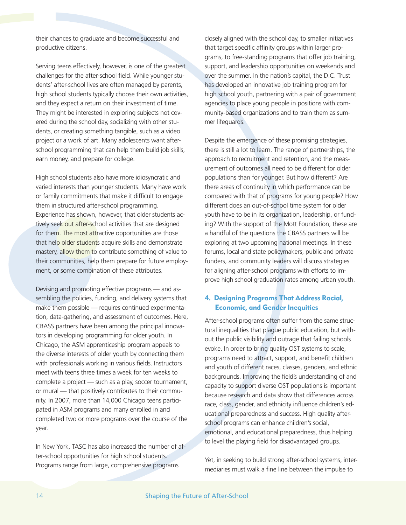their chances to graduate and become successful and productive citizens.

Serving teens effectively, however, is one of the greatest challenges for the after-school field. While younger students' after-school lives are often managed by parents, high school students typically choose their own activities, and they expect a return on their investment of time. They might be interested in exploring subjects not covered during the school day, socializing with other students, or creating something tangible, such as a video project or a work of art. Many adolescents want afterschool programming that can help them build job skills, earn money, and prepare for college.

High school students also have more idiosyncratic and varied interests than younger students. Many have work or family commitments that make it difficult to engage them in structured after-school programming. Experience has shown, however, that older students actively seek out after-school activities that are designed for them. The most attractive opportunities are those that help older students acquire skills and demonstrate mastery, allow them to contribute something of value to their communities, help them prepare for future employment, or some combination of these attributes.

Devising and promoting effective programs — and assembling the policies, funding, and delivery systems that make them possible — requires continued experimentation, data-gathering, and assessment of outcomes. Here, CBASS partners have been among the principal innovators in developing programming for older youth. In Chicago, the ASM apprenticeship program appeals to the diverse interests of older youth by connecting them with professionals working in various fields. Instructors meet with teens three times a week for ten weeks to complete a project — such as a play, soccer tournament, or mural — that positively contributes to their community. In 2007, more than 14,000 Chicago teens participated in ASM programs and many enrolled in and completed two or more programs over the course of the year.

In New York, TASC has also increased the number of after-school opportunities for high school students. Programs range from large, comprehensive programs

closely aligned with the school day, to smaller initiatives that target specific affinity groups within larger programs, to free-standing programs that offer job training, support, and leadership opportunities on weekends and over the summer. In the nation's capital, the D.C. Trust has developed an innovative job training program for high school youth, partnering with a pair of government agencies to place young people in positions with community-based organizations and to train them as summer lifeguards.

Despite the emergence of these promising strategies, there is still a lot to learn. The range of partnerships, the approach to recruitment and retention, and the measurement of outcomes all need to be different for older populations than for younger. But how different? Are there areas of continuity in which performance can be compared with that of programs for young people? How different does an out-of-school time system for older youth have to be in its organization, leadership, or funding? With the support of the Mott Foundation, these are a handful of the questions the CBASS partners will be exploring at two upcoming national meetings. In these forums, local and state policymakers, public and private funders, and community leaders will discuss strategies for aligning after-school programs with efforts to improve high school graduation rates among urban youth.

## **4. Designing Programs That Address Racial, Economic, and Gender Inequities**

After-school programs often suffer from the same structural inequalities that plague public education, but without the public visibility and outrage that failing schools evoke. In order to bring quality OST systems to scale, programs need to attract, support, and benefit children and youth of different races, classes, genders, and ethnic backgrounds. Improving the field's understanding of and capacity to support diverse OST populations is important because research and data show that differences across race, class, gender, and ethnicity influence children's educational preparedness and success. High quality afterschool programs can enhance children's social, emotional, and educational preparedness, thus helping to level the playing field for disadvantaged groups.

Yet, in seeking to build strong after-school systems, intermediaries must walk a fine line between the impulse to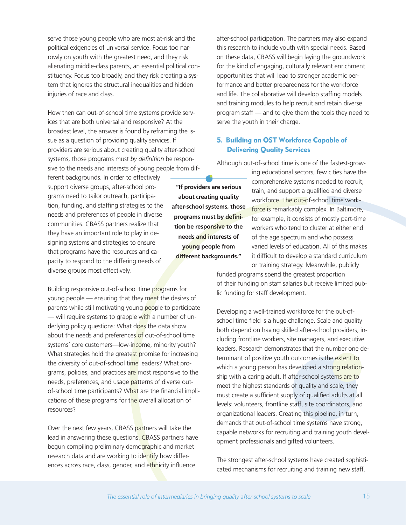serve those young people who are most at-risk and the political exigencies of universal service. Focus too narrowly on youth with the greatest need, and they risk alienating middle-class parents, an essential political constituency. Focus too broadly, and they risk creating a system that ignores the structural inequalities and hidden injuries of race and class.

How then can out-of-school time systems provide services that are both universal and responsive? At the broadest level, the answer is found by reframing the issue as a question of providing quality services. If providers are serious about creating quality after-school systems, those programs must *by definition* be responsive to the needs and interests of young people from different backgrounds. In order to effectively support diverse groups, after-school programs need to tailor outreach, participation, funding, and staffing strategies to the needs and preferences of people in diverse communities. CBASS partners realize that they have an important role to play in designing systems and strategies to ensure that programs have the resources and capacity to respond to the differing needs of diverse groups most effectively.

Building responsive out-of-school time programs for young people — ensuring that they meet the desires of parents while still motivating young people to participate — will require systems to grapple with a number of underlying policy questions: What does the data show about the needs and preferences of out-of-school time systems' core customers—low-income, minority youth? What strategies hold the greatest promise for increasing the diversity of out-of-school time leaders? What programs, policies, and practices are most responsive to the needs, preferences, and usage patterns of diverse outof-school time participants? What are the financial implications of these programs for the overall allocation of resources?

Over the next few years, CBASS partners will take the lead in answering these questions. CBASS partners have begun compiling preliminary demographic and market research data and are working to identify how differences across race, class, gender, and ethnicity influence

after-school participation. The partners may also expand this research to include youth with special needs. Based on these data, CBASS will begin laying the groundwork for the kind of engaging, culturally relevant enrichment opportunities that will lead to stronger academic performance and better preparedness for the workforce and life. The collaborative will develop staffing models and training modules to help recruit and retain diverse program staff — and to give them the tools they need to serve the youth in their charge.

# **5. Building an OST Workforce Capable of Delivering Quality Services**

Although out-of-school time is one of the fastest-grow-

**"If providers are serious about creating quality after-school systems, those programs must by definition be responsive to the needs and interests of young people from different backgrounds."**

ing educational sectors, few cities have the comprehensive systems needed to recruit, train, and support a qualified and diverse workforce. The out-of-school time workforce is remarkably complex. In Baltimore, for example, it consists of mostly part-time workers who tend to cluster at either end of the age spectrum and who possess varied levels of education. All of this makes it difficult to develop a standard curriculum or training strategy. Meanwhile, publicly

funded programs spend the greatest proportion of their funding on staff salaries but receive limited public funding for staff development.

Developing a well-trained workforce for the out-ofschool time field is a huge challenge. Scale and quality both depend on having skilled after-school providers, including frontline workers, site managers, and executive leaders. Research demonstrates that the number one determinant of positive youth outcomes is the extent to which a young person has developed a strong relationship with a caring adult. If after-school systems are to meet the highest standards of quality and scale, they must create a sufficient supply of qualified adults at all levels: volunteers, frontline staff, site coordinators, and organizational leaders. Creating this pipeline, in turn, demands that out-of-school time systems have strong, capable networks for recruiting and training youth development professionals and gifted volunteers.

The strongest after-school systems have created sophisticated mechanisms for recruiting and training new staff.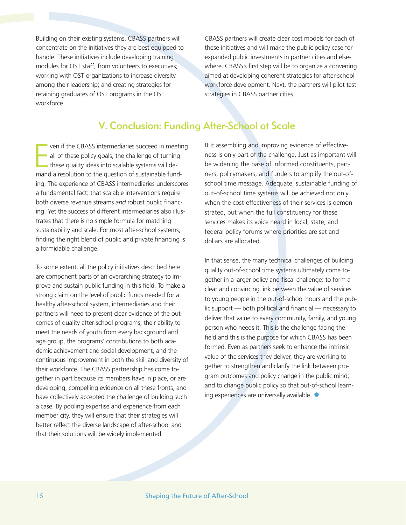Building on their existing systems, CBASS partners will concentrate on the initiatives they are best equipped to handle. These initiatives include developing training modules for OST staff, from volunteers to executives; working with OST organizations to increase diversity among their leadership; and creating strategies for retaining graduates of OST programs in the OST workforce.

CBASS partners will create clear cost models for each of these initiatives and will make the public policy case for expanded public investments in partner cities and elsewhere. CBASS's first step will be to organize a convening aimed at developing coherent strategies for after-school workforce development. Next, the partners will pilot test strategies in CBASS partner cities.

# V. Conclusion: Funding After-School at Scale

E ven if the CBASS intermediaries succeed in meeting all of these policy goals, the challenge of turning these quality ideas into scalable systems will demand a resolution to the question of sustainable funding. The experience of CBASS intermediaries underscores a fundamental fact: that scalable interventions require both diverse revenue streams *and* robust public financing. Yet the success of different intermediaries also illustrates that there is no simple formula for matching sustainability and scale. For most after-school systems, finding the right blend of public and private financing is a formidable challenge.

To some extent, all the policy initiatives described here are component parts of an overarching strategy to improve and sustain public funding in this field. To make a strong claim on the level of public funds needed for a healthy after-school system, intermediaries and their partners will need to present clear evidence of the outcomes of quality after-school programs, their ability to meet the needs of youth from every background and age group, the programs' contributions to both academic achievement and social development, and the continuous improvement in both the skill and diversity of their workforce. The CBASS partnership has come together in part because its members have in place, or are developing, compelling evidence on all these fronts, and have collectively accepted the challenge of building such a case. By pooling expertise and experience from each member city, they will ensure that their strategies will better reflect the diverse landscape of after-school and that their solutions will be widely implemented.

But assembling and improving evidence of effectiveness is only part of the challenge. Just as important will be widening the base of informed constituents, partners, policymakers, and funders to amplify the out-ofschool time message. Adequate, sustainable funding of out-of-school time systems will be achieved not only when the cost-effectiveness of their services is demonstrated, but when the full constituency for these services makes its voice heard in local, state, and federal policy forums where priorities are set and dollars are allocated.

In that sense, the many technical challenges of building quality out-of-school time systems ultimately come together in a larger policy and fiscal challenge: to form a clear and convincing link between the value of services to young people in the out-of-school hours and the public support — both political and financial — necessary to deliver that value to every community, family, and young person who needs it. This is the challenge facing the field and this is the purpose for which CBASS has been formed. Even as partners seek to enhance the intrinsic value of the services they deliver, they are working together to strengthen and clarify the link between program outcomes and policy change in the public mind; and to change public policy so that out-of-school learning experiences are universally available.  $\bullet$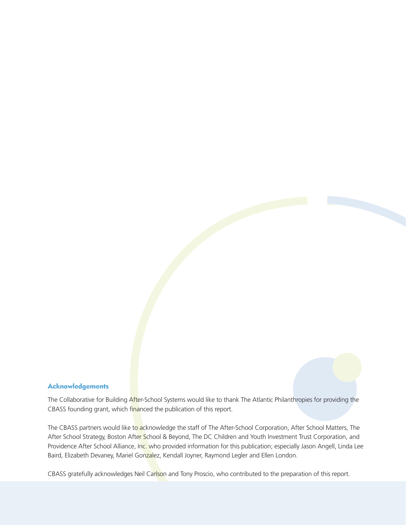#### **Acknowledgements**

The Collaborative for Building After-School Systems would like to thank The Atlantic Philanthropies for providing the CBASS founding grant, which financed the publication of this report.

The CBASS partners would like to acknowledge the staff of The After-School Corporation, After School Matters, The After School Strategy, Boston After School & Beyond, The DC Children and Youth Investment Trust Corporation, and Providence After School Alliance, Inc. who provided information for this publication; especially Jason Angell, Linda Lee Baird, Elizabeth Devaney, Mariel Gonzalez, Kendall Joyner, Raymond Legler and Ellen London.

CBASS gratefully acknowledges Neil Carlson and Tony Proscio, who contributed to the preparation of this report.